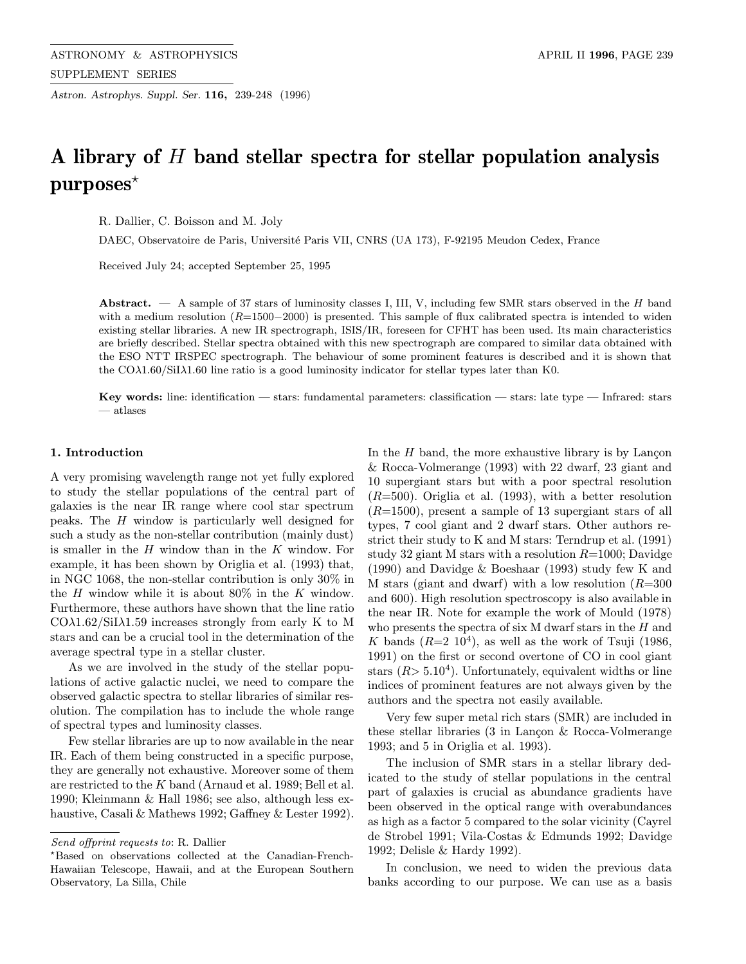Astron. Astrophys. Suppl. Ser. 116, 239-248 (1996)

# A library of H band stellar spectra for stellar population analysis  $purposes*$

R. Dallier, C. Boisson and M. Joly

DAEC, Observatoire de Paris, Université Paris VII, CNRS (UA 173), F-92195 Meudon Cedex, France

Received July 24; accepted September 25, 1995

Abstract. — A sample of 37 stars of luminosity classes I, III, V, including few SMR stars observed in the H band with a medium resolution  $(R=1500-2000)$  is presented. This sample of flux calibrated spectra is intended to widen existing stellar libraries. A new IR spectrograph, ISIS/IR, foreseen for CFHT has been used. Its main characteristics are briefly described. Stellar spectra obtained with this new spectrograph are compared to similar data obtained with the ESO NTT IRSPEC spectrograph. The behaviour of some prominent features is described and it is shown that the COλ1.60/SiIλ1.60 line ratio is a good luminosity indicator for stellar types later than K0.

Key words: line: identification — stars: fundamental parameters: classification — stars: late type — Infrared: stars  $-$  atlases

#### 1. Introduction

A very promising wavelength range not yet fully explored to study the stellar populations of the central part of galaxies is the near IR range where cool star spectrum peaks. The H window is particularly well designed for such a study as the non-stellar contribution (mainly dust) is smaller in the  $H$  window than in the  $K$  window. For example, it has been shown by Origlia et al. (1993) that, in NGC 1068, the non-stellar contribution is only 30% in the H window while it is about  $80\%$  in the K window. Furthermore, these authors have shown that the line ratio CO $\lambda$ 1.62/SiI $\lambda$ 1.59 increases strongly from early K to M stars and can be a crucial tool in the determination of the average spectral type in a stellar cluster.

As we are involved in the study of the stellar populations of active galactic nuclei, we need to compare the observed galactic spectra to stellar libraries of similar resolution. The compilation has to include the whole range of spectral types and luminosity classes.

Few stellar libraries are up to now available in the near IR. Each of them being constructed in a specific purpose, they are generally not exhaustive. Moreover some of them are restricted to the K band (Arnaud et al. 1989; Bell et al. 1990; Kleinmann & Hall 1986; see also, although less exhaustive, Casali & Mathews 1992; Gaffney & Lester 1992). In the  $H$  band, the more exhaustive library is by Lançon & Rocca-Volmerange (1993) with 22 dwarf, 23 giant and 10 supergiant stars but with a poor spectral resolution  $(R=500)$ . Origlia et al. (1993), with a better resolution  $(R=1500)$ , present a sample of 13 supergiant stars of all types, 7 cool giant and 2 dwarf stars. Other authors restrict their study to K and M stars: Terndrup et al. (1991) study 32 giant M stars with a resolution  $R=1000$ ; Davidge (1990) and Davidge & Boeshaar (1993) study few K and M stars (giant and dwarf) with a low resolution  $(R=300$ and 600). High resolution spectroscopy is also available in the near IR. Note for example the work of Mould (1978) who presents the spectra of six  $M$  dwarf stars in the  $H$  and K bands  $(R=2\ 10^4)$ , as well as the work of Tsuji (1986, 1991) on the first or second overtone of CO in cool giant stars  $(R> 5.10<sup>4</sup>)$ . Unfortunately, equivalent widths or line indices of prominent features are not always given by the authors and the spectra not easily available.

Very few super metal rich stars (SMR) are included in these stellar libraries  $(3 \text{ in} \text{ Lancon} \& \text{Rocca-Volmerange})$ 1993; and 5 in Origlia et al. 1993).

The inclusion of SMR stars in a stellar library dedicated to the study of stellar populations in the central part of galaxies is crucial as abundance gradients have been observed in the optical range with overabundances as high as a factor 5 compared to the solar vicinity (Cayrel de Strobel 1991; Vila-Costas & Edmunds 1992; Davidge 1992; Delisle & Hardy 1992).

In conclusion, we need to widen the previous data banks according to our purpose. We can use as a basis

Send offprint requests to: R. Dallier

<sup>?</sup>Based on observations collected at the Canadian-French-Hawaiian Telescope, Hawaii, and at the European Southern Observatory, La Silla, Chile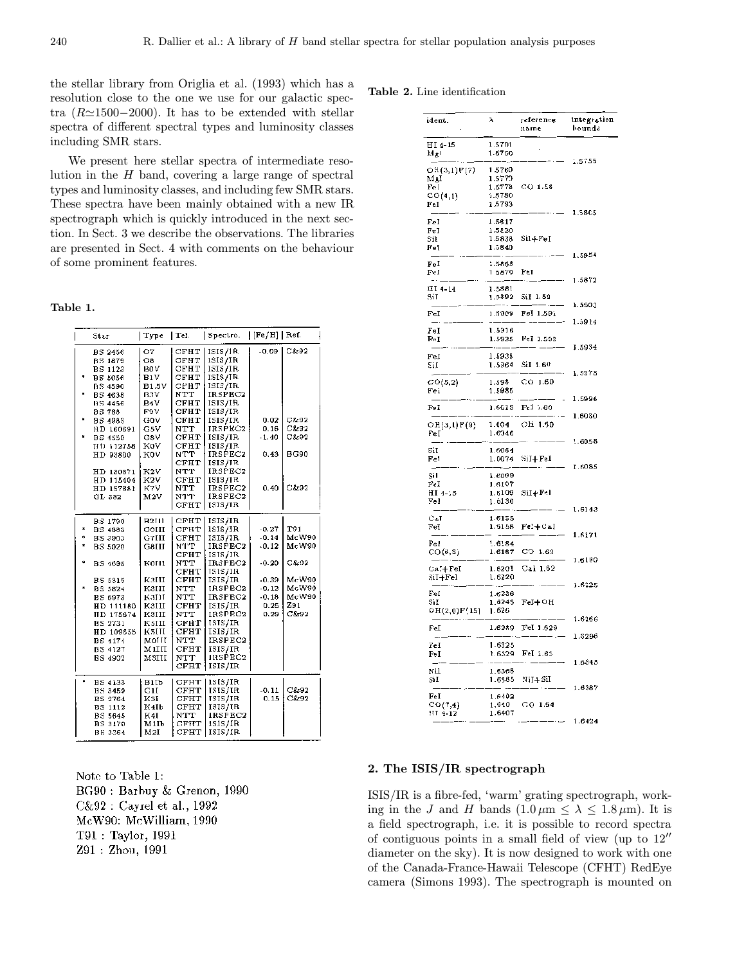the stellar library from Origlia et al. (1993) which has a resolution close to the one we use for our galactic spectra ( $R \approx 1500-2000$ ). It has to be extended with stellar spectra of different spectral types and luminosity classes including SMR stars.

We present here stellar spectra of intermediate resolution in the  $H$  band, covering a large range of spectral types and luminosity classes, and including few SMR stars. These spectra have been mainly obtained with a new IR spectrograph which is quickly introduced in the next section. In Sect. 3 we describe the observations. The libraries are presented in Sect. 4 with comments on the behaviour of some prominent features.

Table 1.

|   | Star              | Type         | Tel.            | Spectro.       | $ [Fe/H] $ Ref. |              |
|---|-------------------|--------------|-----------------|----------------|-----------------|--------------|
|   |                   |              |                 |                |                 |              |
|   | <b>BS 2456</b>    | 07           | CFHT            | ISIS/1R.       | -0.09           | C&92         |
|   | <b>BS 1879</b>    | OВ           | CFHT            | 1SIS/IR        |                 |              |
|   | BS 1123           | BOV          | CFHT            | 1515/1R        |                 |              |
|   | <b>BS 5056</b>    | BIV          | CFHT            | ISIS/IR        |                 |              |
|   | <b>BS 4590</b>    | <b>B1.5V</b> | сыпт            | ISIS/IR        |                 |              |
|   | <b>BS 4638</b>    | B3V          | NTT             | IR5PEC2        |                 |              |
|   | <b>BS 4456</b>    | B4V.         | СҒНТ            | ISIS/IR        |                 |              |
|   | BS 788            | F9V.         | СҒНТ            | ISIS/IR        |                 |              |
|   | <b>BS 4983</b>    | GOV          | CFHT            | ISIS/IR        | 0.02            | C&92         |
|   | HD 160691         | G5V          | NTT             | <b>JRSPEC2</b> | 0.16            | C&92         |
| н | <b>BS 4550</b>    | GSV          | CFHT            | ISIS/IR        | $-1.40$         | C&92         |
|   | TH1 112758        | K0V          | CFHT            | ISIS/IR        |                 |              |
|   | HD 93800          | K0V          | NTT             | <b>IRSPEC2</b> | 0.43            | <b>BG90</b>  |
|   |                   |              | CFHT            | ISIS/IR        |                 |              |
|   | HD 130871         | K2V          | NTT             | IRSPEC2        |                 |              |
|   | HD 115404         | K2V          | CFHT            | <b>ISIS/IR</b> |                 |              |
|   | HD 157881         | K7V.         | NTT             | IRSPEC2        | 0.40            | C&92         |
|   | GL 382            | $_{\rm M2V}$ | N T T           | IRSPEC2        |                 |              |
|   |                   |              | $_{\rm CFHT}$   | 131S/IR        |                 |              |
|   | BS 1790           | <b>B2III</b> | CFHT            | ISIS/IR        |                 |              |
| * | BS 4883           | GOHI         | СРНТ            | 1SIS/IR        | $-0.27$         | T91          |
| ₩ | BS 3903           | G7HH         | CFHT            | ISIS/IR        | $-0.14$         | McW90        |
| * | BS 5020           | G8HH         | NT T            | IRSPEC2        | $-0.12$         | <b>McW90</b> |
|   |                   |              | CFHT            | ISIS/IR        |                 |              |
| ÷ | BS 4695           | KOHI         | NTT             | IRSPEC2        | $-0.20$         | C&92         |
|   |                   |              | $C$ $F$ $H$ $T$ | 1SIS/IR        |                 |              |
|   | BS 5315           | K3HI         | ${\tt CFHT}$    | ISIS/IR        | $-0.39$         | McW90        |
|   | BS 5824           | K3HI         | NTT             | IRSPEC2        | $-0.12$         | McW90        |
|   | <b>BS 6973</b>    | K3HI         | NTT             | IRSPEC2        | $-0.18$         | McW90        |
|   | HD 111180         | КЗИИ         | $C$ FHT         | ISIS/IR        | 0.25            | Z91          |
|   | <b>IID 175674</b> | K3HI         | NTT             | IRSPEC2        | 0.29            | C&92         |
|   | <b>BS 2731</b>    | K5III        | СЕНТ            | ISIS/IR        |                 |              |
|   | HD 109655         | KSIII        | $_{\rm CFHT}$   | ISIS/IR        |                 |              |
|   | <b>BS 4174</b>    | MOIII        | NTT             | IRSPEC2        |                 |              |
|   | BS 4127           | MIIII        | $\mathtt{CFHT}$ | 1515/IR        |                 |              |
|   | BS 4902           | M3III        | NTT             | <b>IRSPEC2</b> |                 |              |
|   |                   |              | CFHT            | ISIS/IR        |                 |              |
|   |                   |              |                 |                |                 |              |
| ۰ | <b>BS 4133</b>    | BiIb         | СРНТ            | 1SIS/IR        |                 |              |
|   | <b>HS 3459</b>    | GH           | $_{\rm CFHT}$   | ISIS/IR        | $-0.11$         | C&92         |
|   | <b>BS 2764</b>    | K3I          | CFHT            | ISIS/IR        | 0.15            | C&92         |
|   | <b>BS 1112</b>    | K4Ib         | CFHT            | ISIS/IR        |                 |              |
|   | <b>BS 5645</b>    | K4I          | NTT             | IRSPEC2        |                 |              |
|   | BS 3170           | M1Ib         | CFHT            | 1S1S/IR        |                 |              |
|   | BS 3364           | M2I          | CFHT            | ISIS/IR        |                 |              |

Note to Table 1: BG90: Barbuy & Grenon, 1990 C&92 : Cayrel et al., 1992 McW90: McWilliam, 1990  $T91: Taylor, 1991$ Z91: Zhou, 1991

#### Table 2. Line identification

| ident.                    | λ                | reference<br>name        | integration<br>bounds |
|---------------------------|------------------|--------------------------|-----------------------|
| HI 4-15                   | 1.5701           |                          |                       |
| MgI                       | 1.5750           |                          |                       |
| OH(3,1)P(7)               | 1.5760           | $\cdot$ $-$              | 1.5755                |
| MgI                       | 1.5770           |                          |                       |
| Fe [                      | 1.5778           | $CO$ 1.58                |                       |
| CO(4,1)                   | 1.5780           |                          |                       |
| FeI                       | 1.5793           | ٠.                       | 1.5805                |
| FeI                       | 1.5817           |                          |                       |
| FeI                       | 1.5820           |                          |                       |
| Sil                       | 1.5838           | $SiI + FeI$              |                       |
| Fel                       | 1.5840           | $\cdot$ $ -$             | 1,5854                |
| $_{\rm FeI}$              | 1.5868           |                          |                       |
| Fel                       | 1.5870           | FeI                      |                       |
| III 4-14                  | 1.5881           | ٠.,                      | 1.5872                |
| SiT                       | 1.5892           | SiI 1.59                 |                       |
|                           | Ξ.               |                          | 1.5903                |
| FeI                       |                  | 1.5909 Fel 1.591         | 1.5914                |
| $_{\rm FeI}$              | 1.5916           |                          |                       |
| FeI                       | 1.5925           | Fel 1.592                |                       |
|                           |                  |                          | 1.5934                |
| FeI<br>5iI                | 1.5938<br>1.5964 | SiI 1.60                 |                       |
|                           |                  |                          | 1.5973                |
| CO(5,2)                   | 1.598            | $CO$ 1.60                |                       |
| Fel                       | 1.5985           |                          | 1.5996                |
| FeI                       | 1.6013           | Fel 1.60                 |                       |
|                           |                  |                          | 1.6030                |
| OH(3,1)P(9)               | 1.604            | OH 1.60                  |                       |
| FeI                       | 1,6046           | $\overline{\phantom{0}}$ | 1.6058                |
| SiI                       | 1.6064           |                          |                       |
| Fel                       | 1.6074           | SiI+FeI                  |                       |
| Sil                       | 1.6099           |                          | 1.6085                |
| Fel                       | 1.6107           |                          |                       |
| HI 4-13                   | 1.6109           | $SiI + FeI$              |                       |
| $_{\rm FeI}$              | 1.6130           |                          | 1.6143                |
| CaI                       | 1.6155           |                          |                       |
| FeI                       | 1.6158           | $FeI + CaI$              |                       |
|                           |                  |                          | 1.6171                |
| $_{\rm Fe1}$<br>CO(6,3)   | 1.6184<br>1.6187 | $CO$ 1.62                |                       |
|                           |                  |                          | 1.6190                |
| CaI+FeI                   | 1.6201           | $CaI$ 1.62               |                       |
| SiI+Fel                   | 1.6220           |                          | 1.6225                |
| Fel                       | 1.6236           |                          |                       |
| SiI                       | 1.6246           | $FeI + OH$               |                       |
| OH(2,0)P(15)              | 1.626            |                          | 1.6266                |
| FeI                       | 1,6289           | Fel 1.629                |                       |
|                           |                  | ٠.,                      | 1.6296                |
| FeI                       | 1.6325           |                          |                       |
| $_{\rm FeI}$              | 1.6329           | Fel 1.63                 | 1.6343                |
| NiI                       | 1.6368           |                          |                       |
| SiI                       | 1.6385           | NiI+SiI                  |                       |
|                           |                  |                          | 1.6387                |
| $_{\rm Fe I}$<br>CO(7, 4) | 1.6402<br>1,640  | $GO$ 1.64                |                       |
| HT 4-12                   | 1.6407           |                          |                       |
|                           |                  |                          | 1.6424                |

### 2. The ISIS/IR spectrograph

ISIS/IR is a fibre-fed, 'warm' grating spectrograph, working in the J and H bands  $(1.0 \,\mu\text{m} \le \lambda \le 1.8 \,\mu\text{m})$ . It is a field spectrograph, i.e. it is possible to record spectra of contiguous points in a small field of view (up to  $12<sup>''</sup>$ diameter on the sky). It is now designed to work with one of the Canada-France-Hawaii Telescope (CFHT) RedEye camera (Simons 1993). The spectrograph is mounted on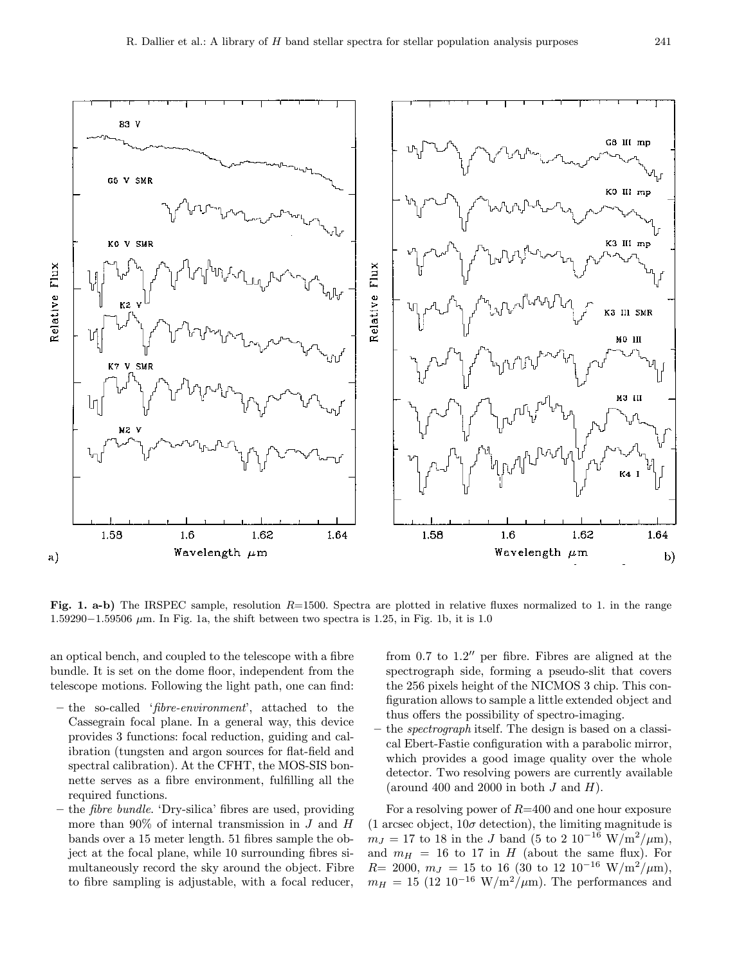

Fig. 1. a-b) The IRSPEC sample, resolution  $R=1500$ . Spectra are plotted in relative fluxes normalized to 1. in the range 1.59290−1.59506  $\mu$ m. In Fig. 1a, the shift between two spectra is 1.25, in Fig. 1b, it is 1.0

an optical bench, and coupled to the telescope with a fibre bundle. It is set on the dome floor, independent from the telescope motions. Following the light path, one can find:

- the so-called 'fibre-environment', attached to the Cassegrain focal plane. In a general way, this device provides 3 functions: focal reduction, guiding and calibration (tungsten and argon sources for flat-field and spectral calibration). At the CFHT, the MOS-SIS bonnette serves as a fibre environment, fulfilling all the required functions.
- the fibre bundle. 'Dry-silica' fibres are used, providing more than  $90\%$  of internal transmission in J and H bands over a 15 meter length. 51 fibres sample the object at the focal plane, while 10 surrounding fibres simultaneously record the sky around the object. Fibre to fibre sampling is adjustable, with a focal reducer,

from 0.7 to  $1.2$ " per fibre. Fibres are aligned at the spectrograph side, forming a pseudo-slit that covers the 256 pixels height of the NICMOS 3 chip. This configuration allows to sample a little extended object and thus offers the possibility of spectro-imaging.

– the spectrograph itself. The design is based on a classical Ebert-Fastie configuration with a parabolic mirror, which provides a good image quality over the whole detector. Two resolving powers are currently available (around 400 and 2000 in both  $J$  and  $H$ ).

For a resolving power of  $R=400$  and one hour exposure (1 arcsec object,  $10\sigma$  detection), the limiting magnitude is  $m_J = 17$  to 18 in the J band (5 to 2 10<sup>-16</sup> W/m<sup>2</sup>/µm), and  $m_H = 16$  to 17 in H (about the same flux). For  $R= 2000, m<sub>J</sub> = 15$  to 16 (30 to 12 10<sup>-16</sup> W/m<sup>2</sup>/µm),  $m_H = 15$  (12 10<sup>-16</sup> W/m<sup>2</sup>/ $\mu$ m). The performances and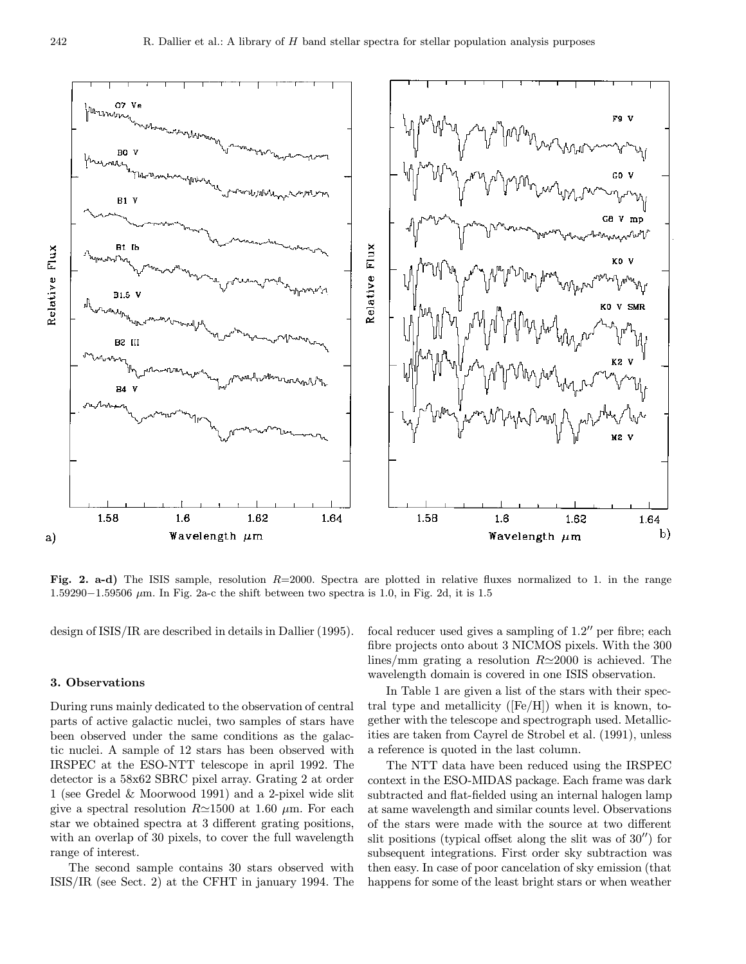

Fig. 2. a-d) The ISIS sample, resolution R=2000. Spectra are plotted in relative fluxes normalized to 1. in the range 1.59290−1.59506  $\mu$ m. In Fig. 2a-c the shift between two spectra is 1.0, in Fig. 2d, it is 1.5

design of ISIS/IR are described in details in Dallier (1995).

#### 3. Observations

During runs mainly dedicated to the observation of central parts of active galactic nuclei, two samples of stars have been observed under the same conditions as the galactic nuclei. A sample of 12 stars has been observed with IRSPEC at the ESO-NTT telescope in april 1992. The detector is a 58x62 SBRC pixel array. Grating 2 at order 1 (see Gredel & Moorwood 1991) and a 2-pixel wide slit give a spectral resolution  $R \approx 1500$  at 1.60  $\mu$ m. For each star we obtained spectra at 3 different grating positions, with an overlap of 30 pixels, to cover the full wavelength range of interest.

The second sample contains 30 stars observed with ISIS/IR (see Sect. 2) at the CFHT in january 1994. The focal reducer used gives a sampling of  $1.2$ " per fibre; each fibre projects onto about 3 NICMOS pixels. With the 300 lines/mm grating a resolution  $R \approx 2000$  is achieved. The wavelength domain is covered in one ISIS observation.

In Table 1 are given a list of the stars with their spectral type and metallicity ([Fe/H]) when it is known, together with the telescope and spectrograph used. Metallicities are taken from Cayrel de Strobel et al. (1991), unless a reference is quoted in the last column.

The NTT data have been reduced using the IRSPEC context in the ESO-MIDAS package. Each frame was dark subtracted and flat-fielded using an internal halogen lamp at same wavelength and similar counts level. Observations of the stars were made with the source at two different slit positions (typical offset along the slit was of  $30''$ ) for subsequent integrations. First order sky subtraction was then easy. In case of poor cancelation of sky emission (that happens for some of the least bright stars or when weather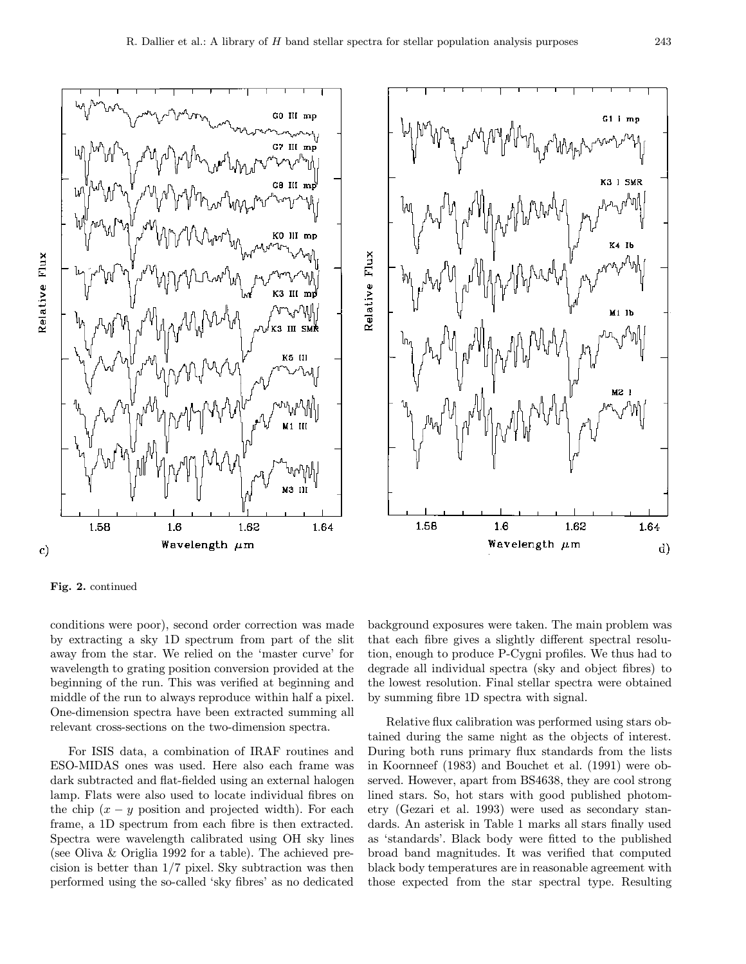

Relative Flux

 $\mathbf{c})$ 

Fig. 2. continued

1.58

conditions were poor), second order correction was made by extracting a sky 1D spectrum from part of the slit away from the star. We relied on the 'master curve' for wavelength to grating position conversion provided at the beginning of the run. This was verified at beginning and middle of the run to always reproduce within half a pixel. One-dimension spectra have been extracted summing all relevant cross-sections on the two-dimension spectra.

Wavelength  $\mu$ m

1.6

1.62

1.64

For ISIS data, a combination of IRAF routines and ESO-MIDAS ones was used. Here also each frame was dark subtracted and flat-fielded using an external halogen lamp. Flats were also used to locate individual fibres on the chip  $(x - y)$  position and projected width). For each frame, a 1D spectrum from each fibre is then extracted. Spectra were wavelength calibrated using OH sky lines (see Oliva & Origlia 1992 for a table). The achieved precision is better than 1/7 pixel. Sky subtraction was then performed using the so-called 'sky fibres' as no dedicated background exposures were taken. The main problem was that each fibre gives a slightly different spectral resolution, enough to produce P-Cygni profiles. We thus had to degrade all individual spectra (sky and object fibres) to the lowest resolution. Final stellar spectra were obtained by summing fibre 1D spectra with signal.

Wavelength  $\mu$ m

Relative flux calibration was performed using stars obtained during the same night as the objects of interest. During both runs primary flux standards from the lists in Koornneef (1983) and Bouchet et al. (1991) were observed. However, apart from BS4638, they are cool strong lined stars. So, hot stars with good published photometry (Gezari et al. 1993) were used as secondary standards. An asterisk in Table 1 marks all stars finally used as 'standards'. Black body were fitted to the published broad band magnitudes. It was verified that computed black body temperatures are in reasonable agreement with those expected from the star spectral type. Resulting

d)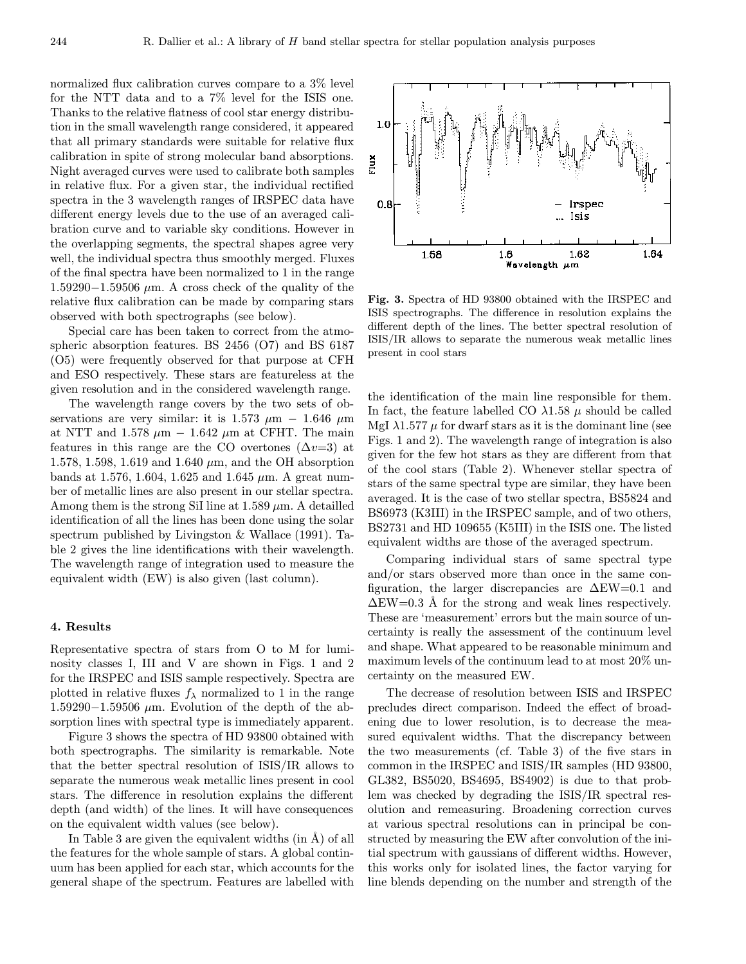normalized flux calibration curves compare to a 3% level for the NTT data and to a 7% level for the ISIS one. Thanks to the relative flatness of cool star energy distribution in the small wavelength range considered, it appeared that all primary standards were suitable for relative flux calibration in spite of strong molecular band absorptions. Night averaged curves were used to calibrate both samples in relative flux. For a given star, the individual rectified spectra in the 3 wavelength ranges of IRSPEC data have different energy levels due to the use of an averaged calibration curve and to variable sky conditions. However in the overlapping segments, the spectral shapes agree very well, the individual spectra thus smoothly merged. Fluxes of the final spectra have been normalized to 1 in the range 1.59290−1.59506 µm. A cross check of the quality of the relative flux calibration can be made by comparing stars observed with both spectrographs (see below).

Special care has been taken to correct from the atmospheric absorption features. BS 2456 (O7) and BS 6187 (O5) were frequently observed for that purpose at CFH and ESO respectively. These stars are featureless at the given resolution and in the considered wavelength range.

The wavelength range covers by the two sets of observations are very similar: it is 1.573  $\mu$ m – 1.646  $\mu$ m at NTT and 1.578  $\mu$ m − 1.642  $\mu$ m at CFHT. The main features in this range are the CO overtones  $(\Delta v=3)$  at 1.578, 1.598, 1.619 and 1.640  $\mu$ m, and the OH absorption bands at 1.576, 1.604, 1.625 and 1.645  $\mu$ m. A great number of metallic lines are also present in our stellar spectra. Among them is the strong SiI line at  $1.589 \mu m$ . A detailled identification of all the lines has been done using the solar spectrum published by Livingston & Wallace (1991). Table 2 gives the line identifications with their wavelength. The wavelength range of integration used to measure the equivalent width (EW) is also given (last column).

#### 4. Results

Representative spectra of stars from O to M for luminosity classes I, III and V are shown in Figs. 1 and 2 for the IRSPEC and ISIS sample respectively. Spectra are plotted in relative fluxes  $f_{\lambda}$  normalized to 1 in the range 1.59290−1.59506  $\mu$ m. Evolution of the depth of the absorption lines with spectral type is immediately apparent.

Figure 3 shows the spectra of HD 93800 obtained with both spectrographs. The similarity is remarkable. Note that the better spectral resolution of ISIS/IR allows to separate the numerous weak metallic lines present in cool stars. The difference in resolution explains the different depth (and width) of the lines. It will have consequences on the equivalent width values (see below).

In Table 3 are given the equivalent widths  $(in \mathring{A})$  of all the features for the whole sample of stars. A global continuum has been applied for each star, which accounts for the general shape of the spectrum. Features are labelled with

Fig. 3. Spectra of HD 93800 obtained with the IRSPEC and ISIS spectrographs. The difference in resolution explains the different depth of the lines. The better spectral resolution of ISIS/IR allows to separate the numerous weak metallic lines present in cool stars

the identification of the main line responsible for them. In fact, the feature labelled CO  $\lambda$ 1.58  $\mu$  should be called MgI  $\lambda$ 1.577  $\mu$  for dwarf stars as it is the dominant line (see Figs. 1 and 2). The wavelength range of integration is also given for the few hot stars as they are different from that of the cool stars (Table 2). Whenever stellar spectra of stars of the same spectral type are similar, they have been averaged. It is the case of two stellar spectra, BS5824 and BS6973 (K3III) in the IRSPEC sample, and of two others, BS2731 and HD 109655 (K5III) in the ISIS one. The listed equivalent widths are those of the averaged spectrum.

Comparing individual stars of same spectral type and/or stars observed more than once in the same configuration, the larger discrepancies are ∆EW=0.1 and  $\Delta$ EW=0.3 Å for the strong and weak lines respectively. These are 'measurement' errors but the main source of uncertainty is really the assessment of the continuum level and shape. What appeared to be reasonable minimum and maximum levels of the continuum lead to at most 20% uncertainty on the measured EW.

The decrease of resolution between ISIS and IRSPEC precludes direct comparison. Indeed the effect of broadening due to lower resolution, is to decrease the measured equivalent widths. That the discrepancy between the two measurements (cf. Table 3) of the five stars in common in the IRSPEC and ISIS/IR samples (HD 93800, GL382, BS5020, BS4695, BS4902) is due to that problem was checked by degrading the ISIS/IR spectral resolution and remeasuring. Broadening correction curves at various spectral resolutions can in principal be constructed by measuring the EW after convolution of the initial spectrum with gaussians of different widths. However, this works only for isolated lines, the factor varying for line blends depending on the number and strength of the

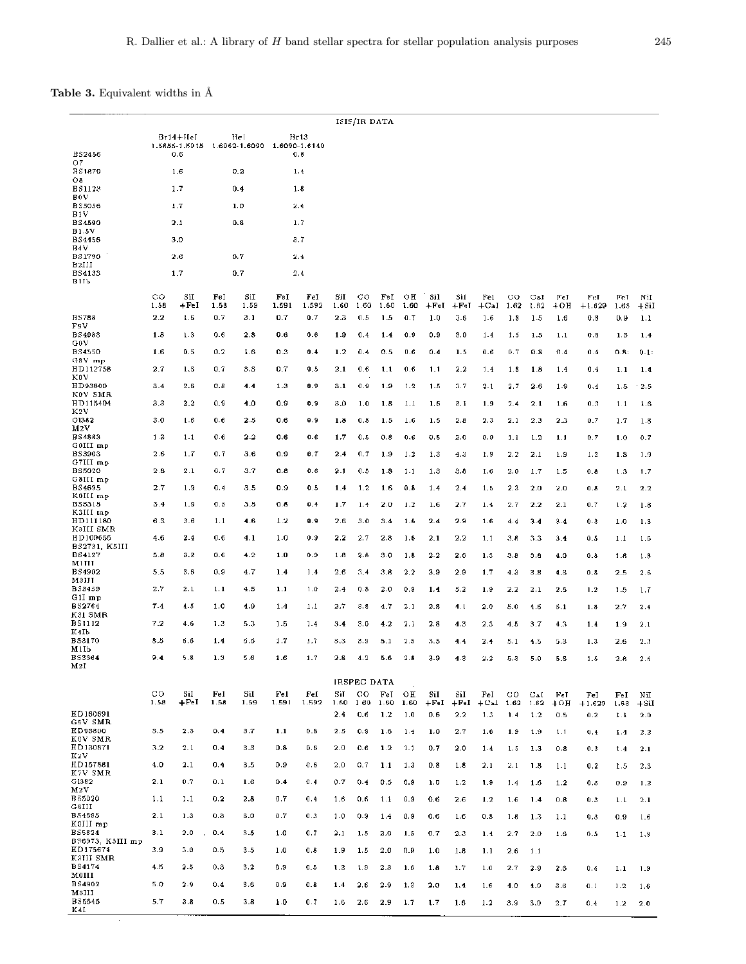## Table 3. Equivalent widths in  $\hbox{\AA}$

|                               |                     |                                                                |             |             |              |              |             | ISIS/IR DATA |                       |            |                |                |                         |             |             |              |                 |                       |               |
|-------------------------------|---------------------|----------------------------------------------------------------|-------------|-------------|--------------|--------------|-------------|--------------|-----------------------|------------|----------------|----------------|-------------------------|-------------|-------------|--------------|-----------------|-----------------------|---------------|
| <b>BS2456</b>                 |                     | $Br14+HeI$<br>1.5855-1.5915 1.6062-1.6090 1.6090-1.6140<br>0.6 |             | Hel         |              | Hr13<br>0.8  |             |              |                       |            |                |                |                         |             |             |              |                 |                       |               |
| 07                            |                     |                                                                |             |             |              |              |             |              |                       |            |                |                |                         |             |             |              |                 |                       |               |
| <b>BS1879</b><br>O8           |                     | 1.6                                                            |             | 0.2         |              | 1.4          |             |              |                       |            |                |                |                         |             |             |              |                 |                       |               |
| <b>BS1123</b>                 | 1.7                 |                                                                | 0.4         |             | 1.8          |              |             |              |                       |            |                |                |                         |             |             |              |                 |                       |               |
| BOV<br><b>BS5056</b>          |                     | 1.7                                                            | 1.0         |             |              | 2.4          |             |              |                       |            |                |                |                         |             |             |              |                 |                       |               |
| B1V<br><b>BS4590</b>          |                     | 2.1                                                            | 0.8         |             | 1.7          |              |             |              |                       |            |                |                |                         |             |             |              |                 |                       |               |
| <b>B1.5V</b>                  |                     |                                                                |             |             |              |              |             |              |                       |            |                |                |                         |             |             |              |                 |                       |               |
| <b>BS4456</b><br>B4V          |                     | 3.0                                                            |             |             |              | 3.7          |             |              |                       |            |                |                |                         |             |             |              |                 |                       |               |
| <b>BS1790</b><br>B2III        |                     | 2.6                                                            |             | 0.7         |              | 2.4          |             |              |                       |            |                |                |                         |             |             |              |                 |                       |               |
| <b>BS4133</b><br>B11b         |                     | 1.7                                                            |             | 0.7         |              | 2.4          |             |              |                       |            |                |                |                         |             |             |              |                 |                       |               |
|                               | CO<br>1.58          | SiI<br>$+FeI$                                                  | FeI<br>1.58 | SiI<br>1.59 | Fel<br>1.591 | FeI<br>1.592 | SiI<br>1.60 | CO.<br>1.60  | $_{\rm{FeI}}$<br>1.60 | OН<br>1.60 | Sil<br>$+$ Fel | Sil<br>$+$ FeI | Fel<br>$+$ CaI          | CО<br>1.62  | CaI<br>1.62 | Fel<br>$+OH$ | FeI<br>$+1.629$ | FeT<br>1.63           | NiI<br>+SiI   |
| <b>BS788</b>                  | 2.2                 | 1.6                                                            | 0.7         | 3.1         | 0.7          | 0.7          | 2.3         | 0.5          | 1.5                   | 0.7        | 1.0            | 3.6            | 1.6                     | 1.8         | 1.5         | 1.6          | 0.8             | 0.9                   | 1.1           |
| F9V<br><b>BS4983</b>          | 1.8                 | 1.3                                                            | 0.6         | 2.8         | 0.6          | 0.6          | 1.9         | 0.4          | 1.4                   | 0.9        | 0.9            | 3.0            | 1.4                     | 1.5         | 1.5         | 1.1          | 0.8             | 1.3                   | 1.4           |
| GOV<br><b>BS4550</b>          | 1.6                 | 0.5                                                            | 0.2         | 1.6         | 0.3          | 0.4          | 1.2         | 0.4          | 0.5                   | 0.6        | 0.4            | 1.5            | 0.6                     | 0.7         | 0.8         | 0.4          | 0.4             | 0.8:                  | 0.1:          |
| G8V mp                        |                     |                                                                |             |             |              |              |             |              |                       |            |                |                |                         |             |             |              |                 |                       |               |
| HD112758<br>KOV               | 2.7                 | 1.3                                                            | 0.7         | 3.3         | 0.7          | 0.5          | 2.1         | 0.6          | 1.1                   | 0.6        | 1.1            | 2.2            | 1.4                     | 1.8         | 1.8         | 1.4          | 0.4             | I.1                   | 1.4           |
| HD93800<br>KOV SMR            | 3.4                 | 2.6                                                            | 0.B         | 4.4         | 1.3          | 0.9          | 3.1         | 0.9          | 1.9                   | 1.2        | 1.5            | 3.7            | 2.1                     | 2.7         | $_{2.6}$    | 1.9          | 0.4             | 1.5                   | 2.5           |
| HD115404                      | 3.3                 | 2.2                                                            | 0.9         | 4.0         | 0,9          | 0.9          | 3,0         | 1.0          | 1.8                   | 1.1        | 1.6            | 3.1            | 1.9                     | 2.4         | 2.1         | 1.6          | 0.3             | 1.1                   | 1.6           |
| K2V<br>G1382                  | 3.0                 | 1.6                                                            | 0.6         | $2.5\,$     | 0.6          | 0.9          | 1.8         | 0.8          | 1.5                   | 1.6        | 1.5            | 2.8            | 2.3                     | 2.1         | 2.3         | 2.3          | 0.7             | 1.7                   | 1.8           |
| M2V                           |                     |                                                                |             |             |              |              |             |              |                       |            |                |                |                         |             |             |              |                 |                       |               |
| <b>BS4883</b><br>GOIII mp     | 1.3                 | 1.1                                                            | 0.6         | 2.2         | 0.6          | 0.6          | 1.7         | 0.5          | 0,8                   | 0.6        | 0.5            | 2.0            | 0.9                     | 1.1         | 1.2         | 1.1          | 0.7             | 1.0                   | 0.7           |
| <b>BS3903</b><br>G7III mp     | 2.6                 | 1.7                                                            | 0.7         | 3.6         | 0.9          | 0.7          | 2.4         | 0.7          | 1.9                   | 1.2        | 1.3            | 4.3            | 1.9                     | 2.2         | 2.1         | 1.9          | 1.2             | 1.8                   | 1.9           |
| <b>BS5020</b>                 | 2.8                 | 2.1                                                            | 0.7         | 3.7         | 0.8          | 0.6          | 2.1         | 0.5          | 1.8                   | 1.1        | 1.3            | 3.8            | 1.6                     | 2.0         | 1.7         | 1.5          | 0.8             | 1.3                   | 1.7           |
| G8HI mp<br>BS4695             | 2.7                 | 1.9                                                            | 0.4         | 3.5         | 0.9          | 0.5          | 1.4         | 1.2          | 1.6                   | 0.8        | 1.4            | 2.4            | 1.5                     | 2.3         | 2.0         | 2.0          | 0.8             | 2.1                   | 2.2           |
| K0III mp<br><b>BS5315</b>     | 3.4                 | 1.9                                                            | 0.5         | 3.5         | 0.8          | 0.4          | 1.7         | 1.4          | 2.0                   | 1.2        | 1.6            | 2.7            | 1.4                     | 2.7         | 2.2         | 2.1          | 0.7             | 1.2                   |               |
| K3III mp                      |                     |                                                                |             |             |              |              |             |              |                       |            |                |                |                         |             |             |              |                 |                       | 1.8           |
| HD111180<br>K3HI SMR          | 6.3                 | 3.6                                                            | 1.1         | 4.6         | 1.2          | 0.9          | 2.6         | 3.0          | 3.4                   | 1.6        | 2.4            | 2.9            | 1.6                     | 4.4         | 3.4         | 3.4          | 0.3             | 1.0                   | 1.3           |
| HD109655                      | 4.6                 | 2.4                                                            | 0.6         | 4.1         | 1.0          | 0.9          | 2.2         | 2.7          | 2.8                   | 1.6        | 2.1            | 2.2            | 1.1                     | 3.8         | 3.3         | 3.4          | 0.5             | 1.1                   | 1.6           |
| BS2731, K5HI<br><b>BS4127</b> | 5.8                 | 3.2                                                            | 0.6         | 4.2         | 1.0          | 0.9          | 1.8         | 2.8          | 3.0                   | 1.8        | 2.2            | 2.6            | 1.3                     | 3.8         | 3.8         | 4.0          | 0.8             | 1.8                   | 1.8           |
| M1HI<br><b>BS4902</b>         | 5.5                 | 3.6                                                            | $_{0.9}$    | 4.7         | 1.4          | 1.4          | 2.6         | 3.4          | 3.8                   | 2.2        | 3.9            | 2.9            | 1.7                     | 4.3         | 3.8         | 4.3          | 0.8             | 2.5                   | 2.6           |
| мзии                          |                     |                                                                |             |             |              |              |             |              |                       |            |                |                |                         |             |             |              |                 |                       |               |
| BS3459<br>$G1I$ mp            | 2.7                 | 2.1                                                            | 1.1         | 4.5         | 1.1          | 1.0          | 2.4         | 0.8          | 2.0                   | 0.9        | 1.4            | 5.2            | 1.9                     | 2.2         | 2.1         | 2.5          | 1.2             | 1.5                   | 1.7           |
| <b>BS2764</b><br>K31 SMR      | 7.4                 | 4.5                                                            | 1.0         | 4.9         | 1.4          | 1.1          | 2.7         | 3.8          | 4.7                   | 2.1        | 2.8            | 4.1            | 2.0                     | 5.0         | 4.5         | 5.1          | 1.8             | 2.7                   | 2.4           |
| <b>BS1112</b>                 | 7.2                 | 4.6                                                            | 1.3         | 5.3         | 1.5          | 1.4          | 3.4         | 3.0          | 4.2                   | 2.1        | 2.8            | 4.3            | 2.3                     | 4.5         | 3.7         | 4.3          | 1.4             | 1.9                   | 2.1           |
| K4Ib<br><b>BS3170</b>         | 8.5                 | 5.6                                                            | 1.4         | 5.5         | 1.7          | 1.7          | 3.3         | 3.9          | 5.1                   | 2.5        | 3.5            | 4.4            | 2.4                     | 5.1         | 4.5         | 5.3          | 1.3             | 2.6                   | 2.3           |
| M1Ib                          |                     |                                                                |             |             |              |              |             |              |                       |            |                |                |                         |             |             |              |                 |                       |               |
| BS3364<br>M2I                 | 9.4                 | 5.8                                                            | 1.3         | 5.6         | 1.6          | 1.7          | 2.8         | 4.2          | 5.6                   | 2.8        | 3.9            | 4.3            | 2.2                     | 5.3         | 5.0         | 5.8          | 1.5             | 2.8                   | 2.5           |
|                               |                     |                                                                |             |             |              |              |             | IRSPEC DATA  |                       |            |                |                |                         |             |             |              |                 |                       |               |
|                               | $_{\rm co}$<br>1.58 | SiI<br>$+FeI$                                                  | FeI<br>1.58 | SiI<br>1.59 | Fel<br>1.591 | Fel<br>1.592 | SiT<br>1.60 | co<br>1.60   | Fel<br>1.60           | OН<br>1.60 | SiI<br>$+FeI$  | SiI<br>$+FeI$  | $_{\rm FeI}$<br>$+$ Cal | CO.<br>1.62 | Cal<br>1.62 | Fel<br>$+OH$ | FeI<br>$+1.629$ | $_{\rm{FeI}}$<br>1.63 | NiI<br>$+SiI$ |
| HD160691                      |                     |                                                                |             |             |              |              | 2.4         | 0,6          | 1.2                   | 1.0        | 0.6            | 2.2            | 1.3                     | 1.4         | 1.2         | 0.5          | 0.2             | 1.1                   | 2.0           |
| G5V SMR<br>HD93800            | 3.5                 | 2.3                                                            | 0.4         | 3.7         | $1.1$        | 0.8          | 2.5         | 0.9          | $1.6\,$               | 1.4        | 1.0            | 2.7            | 1.6                     | 1.9         | 1.9         | 1.1          | 0.4             | 1.4                   | 2.2           |
| KOV SMR                       |                     |                                                                |             |             |              |              |             |              |                       |            |                |                |                         |             |             |              |                 |                       |               |
| HD130871<br>K2V               | 3.2                 | 2.1                                                            | 0.4         | 3,3         | 0.8          | 0.6          | 2.0         | 0.6          | 1.2                   | 1.1        | 0.7            | 2.0            | 1.4                     | 1.5         | 1.3         | 0.8          | 0.3             | 1.4                   | 2.1           |
| HD157881<br>K7V SMR<br>G1382  | 4.0<br>2.1          | 2,1                                                            | 0.4         | 3.5         | 0.9          | 0.6          | 2.0         | 0.7          | 1.1                   | 1.3        | 0.8            | 1.8            | 2.1                     | 2.1         | 1.8         | 1.1          | 0.2             | 1.5                   | 2.3           |
| M2V                           |                     | 0.7                                                            | 0.1         | 1.6         | 0.4          | 0.4          | 0.7         | 0.4          | 0.5                   | 0.9        | 1.0            | 1.2            | 1.9                     | 1.4         | 1.6         | 1.2          | 0.3             | 0.9                   | $\bf 1.2$     |
| <b>B55020</b><br>GSIII        | 1.1                 | 1.1                                                            | 0.2         | 2.8         | 0.7          | 0.4          | 1.6         | 0.6          | 1.1                   | 0.9        | 0.6            | 2.6            | 1.2                     | 1.6         | 1.4         | 0.8          | 0.3             | 1.1                   | 2.1           |
| B54695                        | 2.1                 | 1.3                                                            | 0.3         | 3.0         | 0.7          | 0.3          | 1.0         | 0.9          | 1.4                   | 0.9        | 0.6            | 1.6            | 0.8                     | 1.8         | 1.3         | 1.1          | 0.3             | 0.9                   | 1.6           |
| K0III mp<br><b>BS5824</b>     | 3.1                 | 2.0                                                            | 0.4         | 3.5         | 1.0          | 0.7          | 2.1         | 1.5          | 2.0                   | 1.5        | 0.7            | 2.3            | 1.4                     | 2.7         | 2.0         | 1.6          | 0.5             | 1.1                   | 1.9           |
| BS6973, K3HI mp               |                     |                                                                |             |             |              |              |             |              |                       |            |                |                |                         |             |             |              |                 |                       |               |
| HD175674<br>K3HI SMR          | 3.9                 | 3.0                                                            | 0.5         | 3.5         | 1.0          | 0.8          | 1.9         | 1.5          | 2.0                   | 0.9        | 1.0            | 1.8            | 1.1                     | 2.6         | 1.1         |              |                 |                       |               |
| <b>BS4174</b><br>MOIII        | 4.5                 | 2.5                                                            | 0.3         | 3.2         | 0.9          | 0.5          | 1.2         | 1.9          | 2.3                   | 1.6        | 1.8            | 1.7            | 1.0                     | 2.7         | 2.9         | 2.6          | 0.4             | 1.1                   | 1.9           |
| <b>BS4902</b>                 | 5.0                 | 2.9                                                            | 0.4         | 3.6         | 0.9          | 0.8          | 1.4         | 2.6          | 2.9                   | 1.3        | 2.0            | 1.4            | 1.6                     | 4.0         | 4.0         | 3.6          | 0.1             | 1.2                   | 1.6           |
| M3III<br><b>BS5645</b>        | 5.7                 | 3.8                                                            | 0.5         | 3.8         | 1.0          | 0.7          | 1.6         | 2.6          | 2.9                   | 1.7        | 1.7            | 1.6            | 1.2                     | 3.9         | 3,0         | 2.7          | 0.4             | 1.2                   |               |
|                               |                     |                                                                |             |             |              |              |             |              |                       |            |                |                |                         |             |             |              |                 |                       | 2.0           |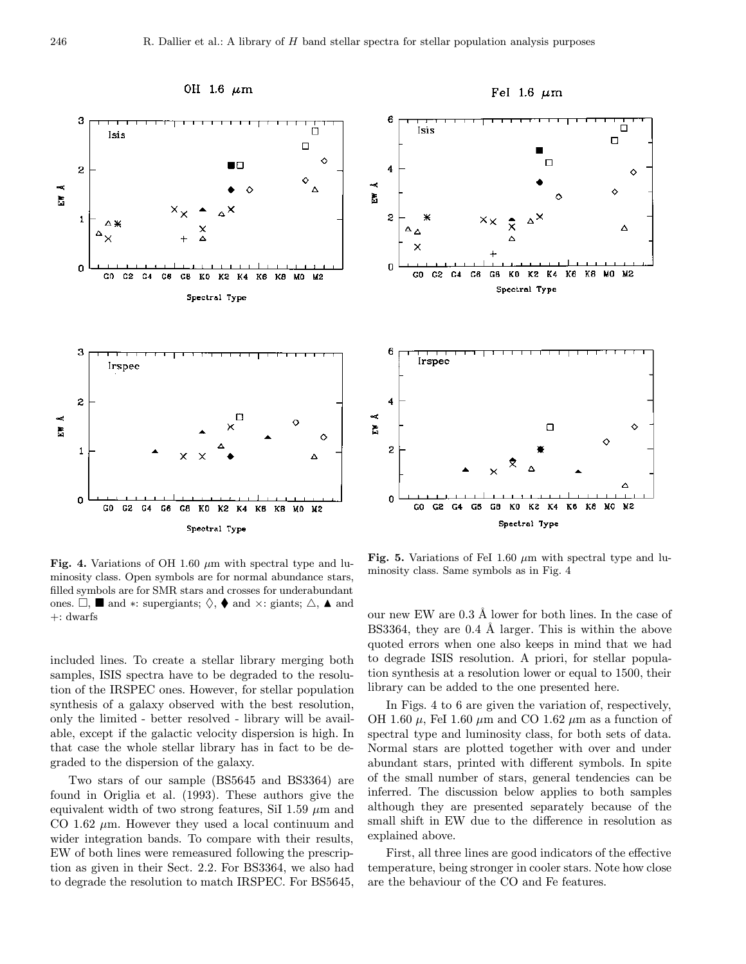

Fig. 4. Variations of OH 1.60  $\mu$ m with spectral type and luminosity class. Open symbols are for normal abundance stars, filled symbols are for SMR stars and crosses for underabundant ones.  $\Box$ ,  $\blacksquare$  and  $*$ : supergiants;  $\Diamond$ ,  $\blacklozenge$  and  $\times$ : giants;  $\triangle$ ,  $\blacktriangle$  and +: dwarfs

included lines. To create a stellar library merging both samples, ISIS spectra have to be degraded to the resolution of the IRSPEC ones. However, for stellar population synthesis of a galaxy observed with the best resolution, only the limited - better resolved - library will be available, except if the galactic velocity dispersion is high. In that case the whole stellar library has in fact to be degraded to the dispersion of the galaxy.

Two stars of our sample (BS5645 and BS3364) are found in Origlia et al. (1993). These authors give the equivalent width of two strong features, SiI 1.59  $\mu$ m and CO 1.62  $\mu$ m. However they used a local continuum and wider integration bands. To compare with their results, EW of both lines were remeasured following the prescription as given in their Sect. 2.2. For BS3364, we also had to degrade the resolution to match IRSPEC. For BS5645,

Fig. 5. Variations of FeI 1.60  $\mu$ m with spectral type and luminosity class. Same symbols as in Fig. 4

Ó

Δ

♦

 $\circ$ 

our new EW are  $0.3 \text{ Å}$  lower for both lines. In the case of BS3364, they are 0.4 Å larger. This is within the above quoted errors when one also keeps in mind that we had to degrade ISIS resolution. A priori, for stellar population synthesis at a resolution lower or equal to 1500, their library can be added to the one presented here.

In Figs. 4 to 6 are given the variation of, respectively, OH 1.60  $\mu$ , FeI 1.60  $\mu$ m and CO 1.62  $\mu$ m as a function of spectral type and luminosity class, for both sets of data. Normal stars are plotted together with over and under abundant stars, printed with different symbols. In spite of the small number of stars, general tendencies can be inferred. The discussion below applies to both samples although they are presented separately because of the small shift in EW due to the difference in resolution as explained above.

First, all three lines are good indicators of the effective temperature, being stronger in cooler stars. Note how close are the behaviour of the CO and Fe features.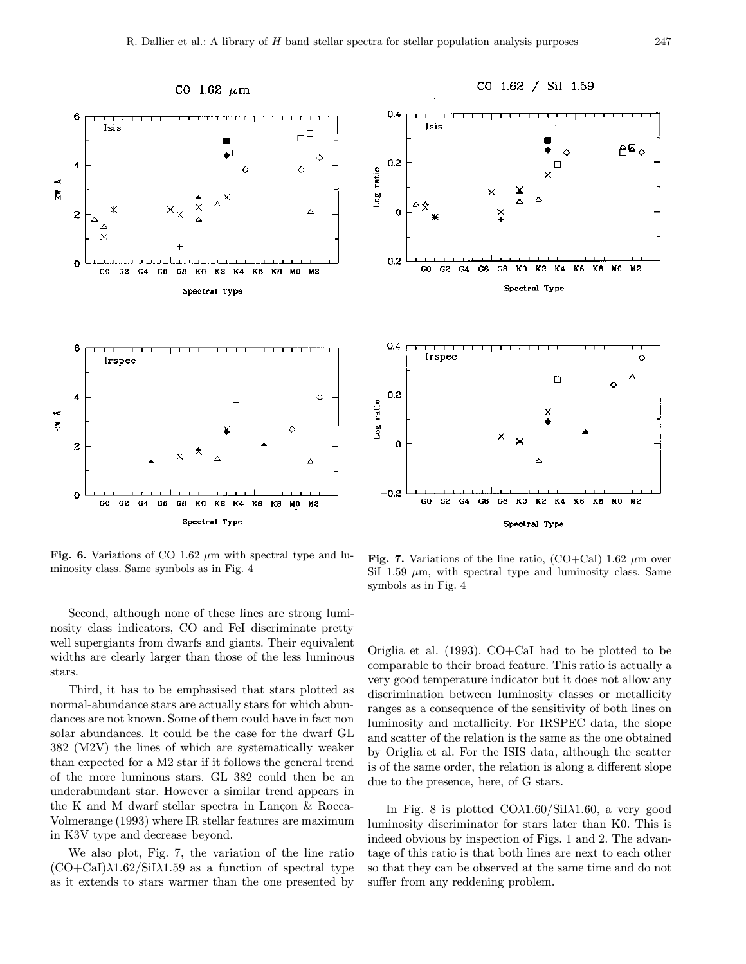![](_page_8_Figure_1.jpeg)

Fig. 6. Variations of CO 1.62  $\mu$ m with spectral type and luminosity class. Same symbols as in Fig. 4

Second, although none of these lines are strong luminosity class indicators, CO and FeI discriminate pretty well supergiants from dwarfs and giants. Their equivalent widths are clearly larger than those of the less luminous stars.

Third, it has to be emphasised that stars plotted as normal-abundance stars are actually stars for which abundances are not known. Some of them could have in fact non solar abundances. It could be the case for the dwarf GL 382 (M2V) the lines of which are systematically weaker than expected for a M2 star if it follows the general trend of the more luminous stars. GL 382 could then be an underabundant star. However a similar trend appears in the K and M dwarf stellar spectra in Lancon  $\&$  Rocca-Volmerange (1993) where IR stellar features are maximum in K3V type and decrease beyond.

We also plot, Fig. 7, the variation of the line ratio  $(CO+CaI)\lambda1.62/SiI\lambda1.59$  as a function of spectral type as it extends to stars warmer than the one presented by

![](_page_8_Figure_6.jpeg)

Fig. 7. Variations of the line ratio,  $(CO+CaI)$  1.62  $\mu$ m over SiI 1.59  $\mu$ m, with spectral type and luminosity class. Same symbols as in Fig. 4

Origlia et al. (1993). CO+CaI had to be plotted to be comparable to their broad feature. This ratio is actually a very good temperature indicator but it does not allow any discrimination between luminosity classes or metallicity ranges as a consequence of the sensitivity of both lines on luminosity and metallicity. For IRSPEC data, the slope and scatter of the relation is the same as the one obtained by Origlia et al. For the ISIS data, although the scatter is of the same order, the relation is along a different slope due to the presence, here, of G stars.

In Fig. 8 is plotted  $CO\lambda1.60/SiI\lambda1.60$ , a very good luminosity discriminator for stars later than K0. This is indeed obvious by inspection of Figs. 1 and 2. The advantage of this ratio is that both lines are next to each other so that they can be observed at the same time and do not suffer from any reddening problem.